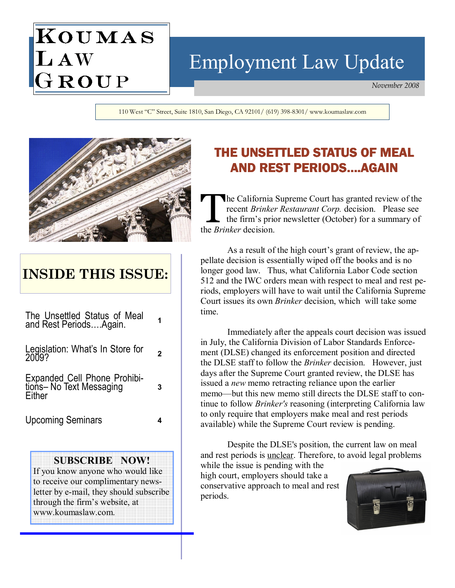# Employment Law Update

November 2008

110 West "C" Street, Suite 1810, San Diego, CA 92101/ (619) 398-8301/ www.koumaslaw.com



KOUMAS

GROUP

LAW

# INSIDE THIS ISSUE:

|                                                                    | <b>SUBSCRIBE NOW!</b><br>If you know anyone who would like<br>to receive our complimentary news-<br>letter by e-mail, they should subscribe<br>through the firm's website, at<br>www.koumaslaw.com. |   |
|--------------------------------------------------------------------|-----------------------------------------------------------------------------------------------------------------------------------------------------------------------------------------------------|---|
| Upcoming Seminars<br>4                                             |                                                                                                                                                                                                     |   |
| Expanded Cell Phone Prohibitions- No Text Messaging<br>Either<br>3 |                                                                                                                                                                                                     |   |
| Legislation: What's In Store for<br>2009?                          |                                                                                                                                                                                                     | 2 |
|                                                                    | The Unsettled Status of Meal<br>and Rest PeriodsAgain.                                                                                                                                              |   |

# THE UNSETTLED STATUS OF MEAL **AND REST PERIODS….AGAIN**

The California Supreme Court has granted review of the recent Brinker Restaurant Corp. decision. Please see the firm's prior newsletter (October) for a summary of the Brinker decision.

 As a result of the high court's grant of review, the appellate decision is essentially wiped off the books and is no longer good law. Thus, what California Labor Code section 512 and the IWC orders mean with respect to meal and rest periods, employers will have to wait until the California Supreme Court issues its own Brinker decision, which will take some time.

 Immediately after the appeals court decision was issued in July, the California Division of Labor Standards Enforcement (DLSE) changed its enforcement position and directed the DLSE staff to follow the Brinker decision. However, just days after the Supreme Court granted review, the DLSE has issued a new memo retracting reliance upon the earlier memo—but this new memo still directs the DLSE staff to continue to follow Brinker's reasoning (interpreting California law to only require that employers make meal and rest periods available) while the Supreme Court review is pending.

 Despite the DLSE's position, the current law on meal and rest periods is unclear. Therefore, to avoid legal problems

while the issue is pending with the high court, employers should take a conservative approach to meal and rest periods.

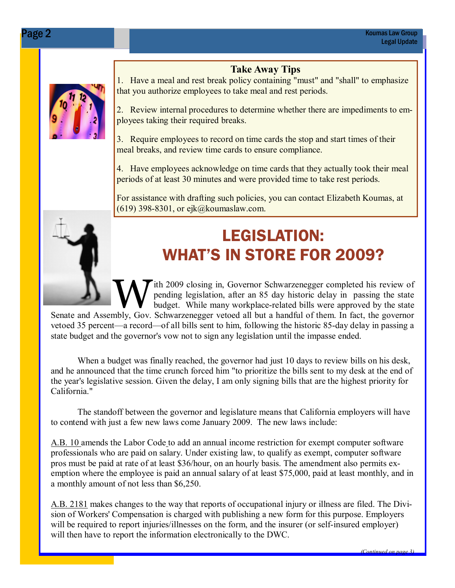

## Take Away Tips

1. Have a meal and rest break policy containing "must" and "shall" to emphasize that you authorize employees to take meal and rest periods.

2. Review internal procedures to determine whether there are impediments to employees taking their required breaks.

3. Require employees to record on time cards the stop and start times of their meal breaks, and review time cards to ensure compliance.

4. Have employees acknowledge on time cards that they actually took their meal periods of at least 30 minutes and were provided time to take rest periods.

For assistance with drafting such policies, you can contact Elizabeth Koumas, at (619) 398-8301, or ejk $@k$ oumaslaw.com.



# LEGISLATION: WHAT'S IN STORE FOR 2009?

W ith 2009 closing in, Governor Schwarzenegger completed his review of pending legislation, after an 85 day historic delay in passing the state budget. While many workplace-related bills were approved by the state pending legislation, after an 85 day historic delay in passing the state budget. While many workplace-related bills were approved by the state Senate and Assembly, Gov. Schwarzenegger vetoed all but a handful of them. In fact, the governor vetoed 35 percent—a record—of all bills sent to him, following the historic 85-day delay in passing a state budget and the governor's vow not to sign any legislation until the impasse ended.

When a budget was finally reached, the governor had just 10 days to review bills on his desk. and he announced that the time crunch forced him "to prioritize the bills sent to my desk at the end of the year's legislative session. Given the delay, I am only signing bills that are the highest priority for California."

 The standoff between the governor and legislature means that California employers will have to contend with just a few new laws come January 2009. The new laws include:

A.B. 10 amends the Labor Code to add an annual income restriction for exempt computer software professionals who are paid on salary. Under existing law, to qualify as exempt, computer software pros must be paid at rate of at least \$36/hour, on an hourly basis. The amendment also permits exemption where the employee is paid an annual salary of at least \$75,000, paid at least monthly, and in a monthly amount of not less than \$6,250.

A.B. 2181 makes changes to the way that reports of occupational injury or illness are filed. The Division of Workers' Compensation is charged with publishing a new form for this purpose. Employers will be required to report injuries/illnesses on the form, and the insurer (or self-insured employer) will then have to report the information electronically to the DWC.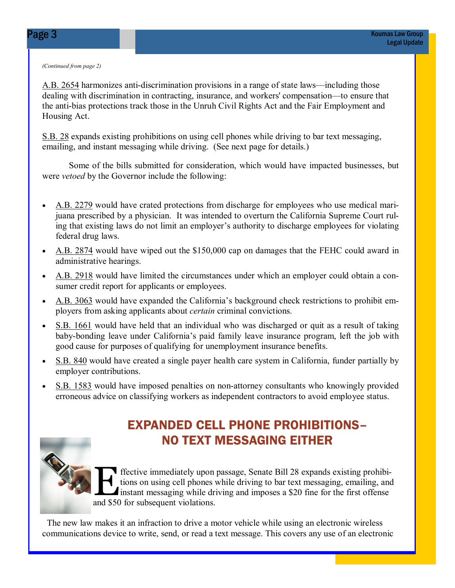#### (Continued from page 2)

A.B. 2654 harmonizes anti-discrimination provisions in a range of state laws—including those dealing with discrimination in contracting, insurance, and workers' compensation—to ensure that the anti-bias protections track those in the Unruh Civil Rights Act and the Fair Employment and Housing Act.

S.B. 28 expands existing prohibitions on using cell phones while driving to bar text messaging, emailing, and instant messaging while driving. (See next page for details.)

 Some of the bills submitted for consideration, which would have impacted businesses, but were vetoed by the Governor include the following:

- A.B. 2279 would have crated protections from discharge for employees who use medical marijuana prescribed by a physician. It was intended to overturn the California Supreme Court ruling that existing laws do not limit an employer's authority to discharge employees for violating federal drug laws.
- A.B. 2874 would have wiped out the \$150,000 cap on damages that the FEHC could award in administrative hearings.
- A.B. 2918 would have limited the circumstances under which an employer could obtain a consumer credit report for applicants or employees.
- A.B. 3063 would have expanded the California's background check restrictions to prohibit employers from asking applicants about certain criminal convictions.
- S.B. 1661 would have held that an individual who was discharged or quit as a result of taking baby-bonding leave under California's paid family leave insurance program, left the job with good cause for purposes of qualifying for unemployment insurance benefits.
- S.B. 840 would have created a single payer health care system in California, funder partially by employer contributions.
- S.B. 1583 would have imposed penalties on non-attorney consultants who knowingly provided erroneous advice on classifying workers as independent contractors to avoid employee status.

# EXPANDED CELL PHONE PROHIBITIONS– NO TEXT MESSAGING EITHER



Iffective immediately upon passage, Senate Bill 28 expands existing prohibitions on using cell phones while driving to bar text messaging, emailing, and instant messaging while driving and imposes a \$20 fine for the first tions on using cell phones while driving to bar text messaging, emailing, and and \$50 for subsequent violations.

 The new law makes it an infraction to drive a motor vehicle while using an electronic wireless communications device to write, send, or read a text message. This covers any use of an electronic